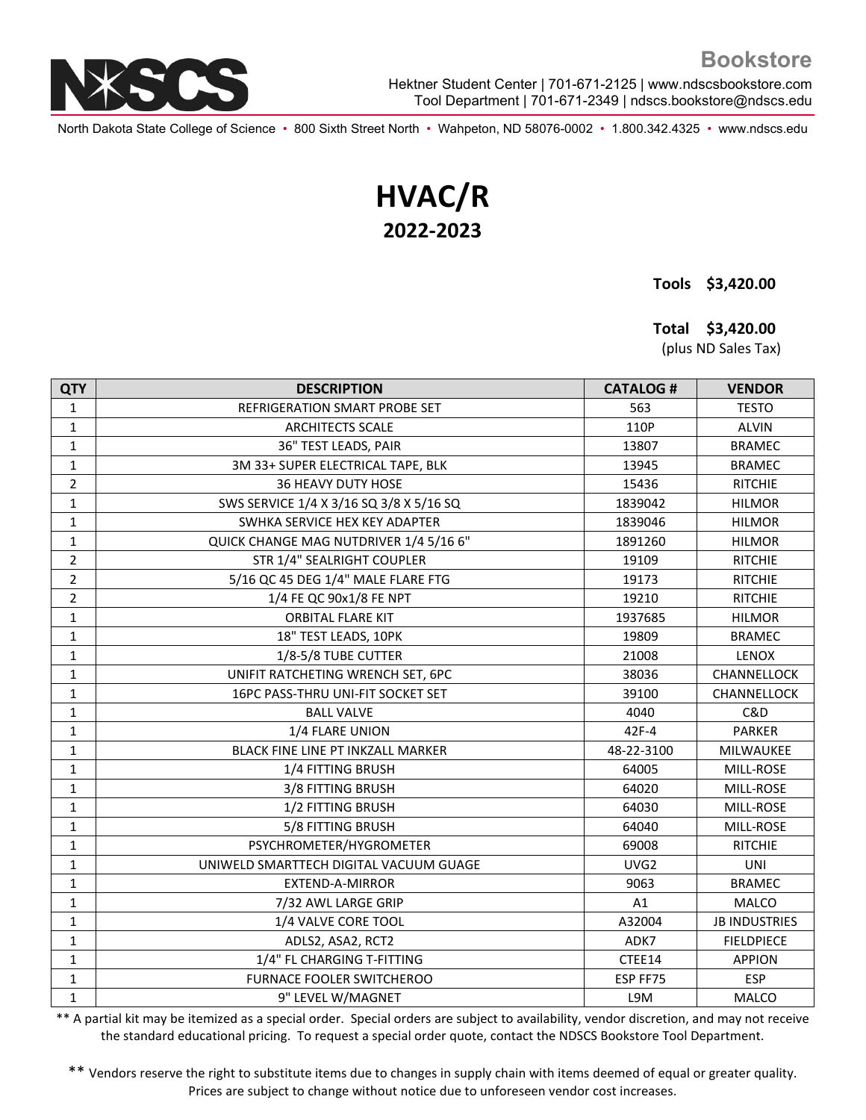

Hektner Student Center | 701-671-2125 | www.ndscsbookstore.com Tool Department | 701-671-2349 | ndscs.bookstore@ndscs.edu

North Dakota State College of Science • 800 Sixth Street North • Wahpeton, ND 58076-0002 • 1.800.342.4325 • www.ndscs.edu

## **HVAC/R 2022-2023**

 **Tools \$3,420.00**

 **Total \$3,420.00**

(plus ND Sales Tax)

| <b>QTY</b>     | <b>DESCRIPTION</b>                      | <b>CATALOG#</b>  | <b>VENDOR</b>        |
|----------------|-----------------------------------------|------------------|----------------------|
| $\mathbf{1}$   | REFRIGERATION SMART PROBE SET           | 563              | <b>TESTO</b>         |
| $\mathbf{1}$   | <b>ARCHITECTS SCALE</b>                 | 110P             | <b>ALVIN</b>         |
| $\mathbf{1}$   | 36" TEST LEADS, PAIR                    | 13807            | <b>BRAMEC</b>        |
| $\mathbf{1}$   | 3M 33+ SUPER ELECTRICAL TAPE, BLK       | 13945            | <b>BRAMEC</b>        |
| $\overline{2}$ | <b>36 HEAVY DUTY HOSE</b>               | 15436            | <b>RITCHIE</b>       |
| $\mathbf{1}$   | SWS SERVICE 1/4 X 3/16 SQ 3/8 X 5/16 SQ | 1839042          | <b>HILMOR</b>        |
| $\mathbf{1}$   | SWHKA SERVICE HEX KEY ADAPTER           | 1839046          | <b>HILMOR</b>        |
| 1              | QUICK CHANGE MAG NUTDRIVER 1/4 5/16 6"  | 1891260          | <b>HILMOR</b>        |
| $\overline{2}$ | STR 1/4" SEALRIGHT COUPLER              | 19109            | <b>RITCHIE</b>       |
| $\overline{2}$ | 5/16 QC 45 DEG 1/4" MALE FLARE FTG      | 19173            | <b>RITCHIE</b>       |
| $\overline{2}$ | 1/4 FE QC 90x1/8 FE NPT                 | 19210            | <b>RITCHIE</b>       |
| $\mathbf 1$    | <b>ORBITAL FLARE KIT</b>                | 1937685          | <b>HILMOR</b>        |
| 1              | 18" TEST LEADS, 10PK                    | 19809            | <b>BRAMEC</b>        |
| $\mathbf{1}$   | 1/8-5/8 TUBE CUTTER                     | 21008            | LENOX                |
| $\mathbf{1}$   | UNIFIT RATCHETING WRENCH SET, 6PC       | 38036            | CHANNELLOCK          |
| $\mathbf{1}$   | 16PC PASS-THRU UNI-FIT SOCKET SET       | 39100            | CHANNELLOCK          |
| $\mathbf{1}$   | <b>BALL VALVE</b>                       | 4040             | C&D                  |
| $\mathbf{1}$   | 1/4 FLARE UNION                         | 42F-4            | <b>PARKER</b>        |
| $\mathbf{1}$   | BLACK FINE LINE PT INKZALL MARKER       | 48-22-3100       | MILWAUKEE            |
| $\mathbf{1}$   | 1/4 FITTING BRUSH                       | 64005            | MILL-ROSE            |
| $\mathbf{1}$   | 3/8 FITTING BRUSH                       | 64020            | MILL-ROSE            |
| $\mathbf{1}$   | 1/2 FITTING BRUSH                       | 64030            | MILL-ROSE            |
| $\mathbf 1$    | 5/8 FITTING BRUSH                       | 64040            | MILL-ROSE            |
| $\mathbf{1}$   | PSYCHROMETER/HYGROMETER                 | 69008            | <b>RITCHIE</b>       |
| $\mathbf{1}$   | UNIWELD SMARTTECH DIGITAL VACUUM GUAGE  | UVG <sub>2</sub> | <b>UNI</b>           |
| $\mathbf{1}$   | <b>EXTEND-A-MIRROR</b>                  | 9063             | <b>BRAMEC</b>        |
| $\mathbf 1$    | 7/32 AWL LARGE GRIP                     | A1               | <b>MALCO</b>         |
| 1              | 1/4 VALVE CORE TOOL                     | A32004           | <b>JB INDUSTRIES</b> |
| $\mathbf{1}$   | ADLS2, ASA2, RCT2                       | ADK7             | <b>FIELDPIECE</b>    |
| 1              | 1/4" FL CHARGING T-FITTING              | CTEE14           | <b>APPION</b>        |
| $\mathbf{1}$   | <b>FURNACE FOOLER SWITCHEROO</b>        | ESP FF75         | <b>ESP</b>           |
| $\mathbf{1}$   | 9" LEVEL W/MAGNET                       | L9M              | MALCO                |

\*\* A partial kit may be itemized as a special order. Special orders are subject to availability, vendor discretion, and may not receive the standard educational pricing. To request a special order quote, contact the NDSCS Bookstore Tool Department.

\*\* Vendors reserve the right to substitute items due to changes in supply chain with items deemed of equal or greater quality. Prices are subject to change without notice due to unforeseen vendor cost increases.